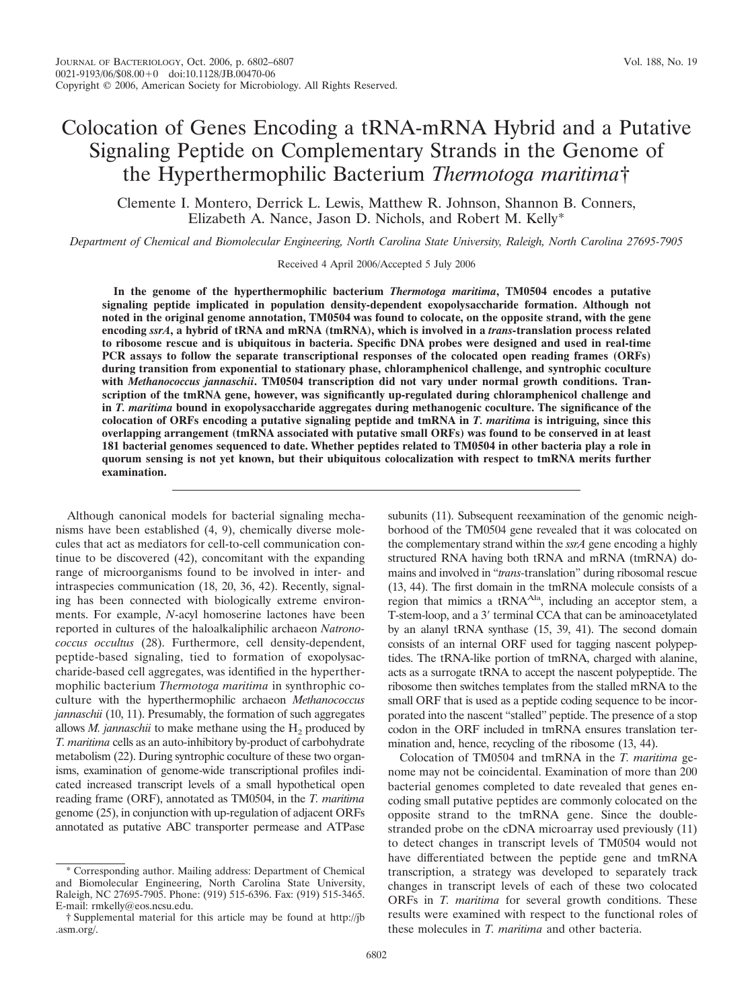# Colocation of Genes Encoding a tRNA-mRNA Hybrid and a Putative Signaling Peptide on Complementary Strands in the Genome of the Hyperthermophilic Bacterium *Thermotoga maritima*†

Clemente I. Montero, Derrick L. Lewis, Matthew R. Johnson, Shannon B. Conners, Elizabeth A. Nance, Jason D. Nichols, and Robert M. Kelly\*

*Department of Chemical and Biomolecular Engineering, North Carolina State University, Raleigh, North Carolina 27695-7905*

Received 4 April 2006/Accepted 5 July 2006

**In the genome of the hyperthermophilic bacterium** *Thermotoga maritima***, TM0504 encodes a putative signaling peptide implicated in population density-dependent exopolysaccharide formation. Although not noted in the original genome annotation, TM0504 was found to colocate, on the opposite strand, with the gene encoding** *ssrA***, a hybrid of tRNA and mRNA (tmRNA), which is involved in a** *trans-***translation process related to ribosome rescue and is ubiquitous in bacteria. Specific DNA probes were designed and used in real-time PCR assays to follow the separate transcriptional responses of the colocated open reading frames (ORFs) during transition from exponential to stationary phase, chloramphenicol challenge, and syntrophic coculture with** *Methanococcus jannaschii***. TM0504 transcription did not vary under normal growth conditions. Transcription of the tmRNA gene, however, was significantly up-regulated during chloramphenicol challenge and in** *T. maritima* **bound in exopolysaccharide aggregates during methanogenic coculture. The significance of the colocation of ORFs encoding a putative signaling peptide and tmRNA in** *T. maritima* **is intriguing, since this overlapping arrangement (tmRNA associated with putative small ORFs) was found to be conserved in at least 181 bacterial genomes sequenced to date. Whether peptides related to TM0504 in other bacteria play a role in quorum sensing is not yet known, but their ubiquitous colocalization with respect to tmRNA merits further examination.**

Although canonical models for bacterial signaling mechanisms have been established (4, 9), chemically diverse molecules that act as mediators for cell-to-cell communication continue to be discovered (42), concomitant with the expanding range of microorganisms found to be involved in inter- and intraspecies communication (18, 20, 36, 42). Recently, signaling has been connected with biologically extreme environments. For example, *N*-acyl homoserine lactones have been reported in cultures of the haloalkaliphilic archaeon *Natronococcus occultus* (28). Furthermore, cell density-dependent, peptide-based signaling, tied to formation of exopolysaccharide-based cell aggregates, was identified in the hyperthermophilic bacterium *Thermotoga maritima* in synthrophic coculture with the hyperthermophilic archaeon *Methanococcus jannaschii* (10, 11). Presumably, the formation of such aggregates allows  $M$ . *jannaschii* to make methane using the  $H_2$  produced by *T. maritima* cells as an auto-inhibitory by-product of carbohydrate metabolism (22). During syntrophic coculture of these two organisms, examination of genome-wide transcriptional profiles indicated increased transcript levels of a small hypothetical open reading frame (ORF), annotated as TM0504, in the *T. maritima* genome (25), in conjunction with up-regulation of adjacent ORFs annotated as putative ABC transporter permease and ATPase

subunits (11). Subsequent reexamination of the genomic neighborhood of the TM0504 gene revealed that it was colocated on the complementary strand within the *ssrA* gene encoding a highly structured RNA having both tRNA and mRNA (tmRNA) domains and involved in "*trans-*translation" during ribosomal rescue (13, 44). The first domain in the tmRNA molecule consists of a region that mimics a tRNA<sup>Ala</sup>, including an acceptor stem, a T-stem-loop, and a 3' terminal CCA that can be aminoacetylated by an alanyl tRNA synthase (15, 39, 41). The second domain consists of an internal ORF used for tagging nascent polypeptides. The tRNA-like portion of tmRNA, charged with alanine, acts as a surrogate tRNA to accept the nascent polypeptide. The ribosome then switches templates from the stalled mRNA to the small ORF that is used as a peptide coding sequence to be incorporated into the nascent "stalled" peptide. The presence of a stop codon in the ORF included in tmRNA ensures translation termination and, hence, recycling of the ribosome (13, 44).

Colocation of TM0504 and tmRNA in the *T. maritima* genome may not be coincidental. Examination of more than 200 bacterial genomes completed to date revealed that genes encoding small putative peptides are commonly colocated on the opposite strand to the tmRNA gene. Since the doublestranded probe on the cDNA microarray used previously (11) to detect changes in transcript levels of TM0504 would not have differentiated between the peptide gene and tmRNA transcription, a strategy was developed to separately track changes in transcript levels of each of these two colocated ORFs in *T. maritima* for several growth conditions. These results were examined with respect to the functional roles of these molecules in *T. maritima* and other bacteria.

Corresponding author. Mailing address: Department of Chemical and Biomolecular Engineering, North Carolina State University, Raleigh, NC 27695-7905. Phone: (919) 515-6396. Fax: (919) 515-3465. E-mail: rmkelly@eos.ncsu.edu.

<sup>†</sup> Supplemental material for this article may be found at http://jb .asm.org/.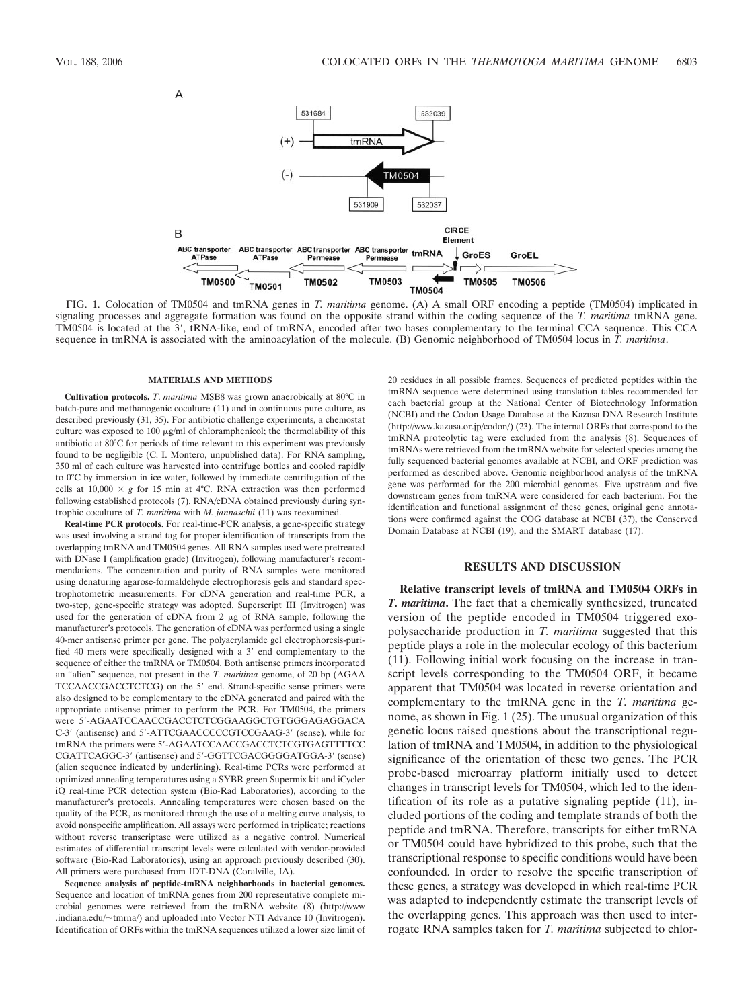

FIG. 1. Colocation of TM0504 and tmRNA genes in *T. maritima* genome. (A) A small ORF encoding a peptide (TM0504) implicated in signaling processes and aggregate formation was found on the opposite strand within the coding sequence of the *T. maritima* tmRNA gene. TM0504 is located at the 3', tRNA-like, end of tmRNA, encoded after two bases complementary to the terminal CCA sequence. This CCA sequence in tmRNA is associated with the aminoacylation of the molecule. (B) Genomic neighborhood of TM0504 locus in *T. maritima*.

### **MATERIALS AND METHODS**

**Cultivation protocols.** *T*. *maritima* MSB8 was grown anaerobically at 80°C in batch-pure and methanogenic coculture (11) and in continuous pure culture, as described previously (31, 35). For antibiotic challenge experiments, a chemostat culture was exposed to 100  $\mu$ g/ml of chloramphenicol; the thermolability of this antibiotic at 80°C for periods of time relevant to this experiment was previously found to be negligible (C. I. Montero, unpublished data). For RNA sampling, 350 ml of each culture was harvested into centrifuge bottles and cooled rapidly to 0°C by immersion in ice water, followed by immediate centrifugation of the cells at  $10,000 \times g$  for 15 min at 4°C. RNA extraction was then performed following established protocols (7). RNA/cDNA obtained previously during syntrophic coculture of *T. maritima* with *M. jannaschii* (11) was reexamined.

**Real-time PCR protocols.** For real-time-PCR analysis, a gene-specific strategy was used involving a strand tag for proper identification of transcripts from the overlapping tmRNA and TM0504 genes. All RNA samples used were pretreated with DNase I (amplification grade) (Invitrogen), following manufacturer's recommendations. The concentration and purity of RNA samples were monitored using denaturing agarose-formaldehyde electrophoresis gels and standard spectrophotometric measurements. For cDNA generation and real-time PCR, a two-step, gene-specific strategy was adopted. Superscript III (Invitrogen) was used for the generation of cDNA from  $2 \mu g$  of RNA sample, following the manufacturer's protocols. The generation of cDNA was performed using a single 40-mer antisense primer per gene. The polyacrylamide gel electrophoresis-purified 40 mers were specifically designed with a 3' end complementary to the sequence of either the tmRNA or TM0504. Both antisense primers incorporated an "alien" sequence, not present in the *T. maritima* genome, of 20 bp (AGAA TCCAACCGACCTCTCG) on the 5' end. Strand-specific sense primers were also designed to be complementary to the cDNA generated and paired with the appropriate antisense primer to perform the PCR. For TM0504, the primers were 5--AGAATCCAACCGACCTCTCGGAAGGCTGTGGGAGAGGACA C-3' (antisense) and 5'-ATTCGAACCCCCGTCCGAAG-3' (sense), while for tmRNA the primers were 5'-AGAATCCAACCGACCTCTCGTGAGTTTTCC CGATTCAGGC-3' (antisense) and 5'-GGTTCGACGGGGATGGA-3' (sense) (alien sequence indicated by underlining). Real-time PCRs were performed at optimized annealing temperatures using a SYBR green Supermix kit and iCycler iQ real-time PCR detection system (Bio-Rad Laboratories), according to the manufacturer's protocols. Annealing temperatures were chosen based on the quality of the PCR, as monitored through the use of a melting curve analysis, to avoid nonspecific amplification. All assays were performed in triplicate; reactions without reverse transcriptase were utilized as a negative control. Numerical estimates of differential transcript levels were calculated with vendor-provided software (Bio-Rad Laboratories), using an approach previously described (30). All primers were purchased from IDT-DNA (Coralville, IA).

**Sequence analysis of peptide-tmRNA neighborhoods in bacterial genomes.** Sequence and location of tmRNA genes from 200 representative complete microbial genomes were retrieved from the tmRNA website (8) (http://www .indiana.edu/~tmrna/) and uploaded into Vector NTI Advance 10 (Invitrogen). Identification of ORFs within the tmRNA sequences utilized a lower size limit of 20 residues in all possible frames. Sequences of predicted peptides within the tmRNA sequence were determined using translation tables recommended for each bacterial group at the National Center of Biotechnology Information (NCBI) and the Codon Usage Database at the Kazusa DNA Research Institute (http://www.kazusa.or.jp/codon/) (23). The internal ORFs that correspond to the tmRNA proteolytic tag were excluded from the analysis (8). Sequences of tmRNAs were retrieved from the tmRNA website for selected species among the fully sequenced bacterial genomes available at NCBI, and ORF prediction was performed as described above. Genomic neighborhood analysis of the tmRNA gene was performed for the 200 microbial genomes. Five upstream and five downstream genes from tmRNA were considered for each bacterium. For the identification and functional assignment of these genes, original gene annotations were confirmed against the COG database at NCBI (37), the Conserved Domain Database at NCBI (19), and the SMART database (17).

### **RESULTS AND DISCUSSION**

**Relative transcript levels of tmRNA and TM0504 ORFs in** *T. maritima***.** The fact that a chemically synthesized, truncated version of the peptide encoded in TM0504 triggered exopolysaccharide production in *T. maritima* suggested that this peptide plays a role in the molecular ecology of this bacterium (11). Following initial work focusing on the increase in transcript levels corresponding to the TM0504 ORF, it became apparent that TM0504 was located in reverse orientation and complementary to the tmRNA gene in the *T. maritima* genome, as shown in Fig. 1 (25). The unusual organization of this genetic locus raised questions about the transcriptional regulation of tmRNA and TM0504, in addition to the physiological significance of the orientation of these two genes. The PCR probe-based microarray platform initially used to detect changes in transcript levels for TM0504, which led to the identification of its role as a putative signaling peptide (11), included portions of the coding and template strands of both the peptide and tmRNA. Therefore, transcripts for either tmRNA or TM0504 could have hybridized to this probe, such that the transcriptional response to specific conditions would have been confounded. In order to resolve the specific transcription of these genes, a strategy was developed in which real-time PCR was adapted to independently estimate the transcript levels of the overlapping genes. This approach was then used to interrogate RNA samples taken for *T. maritima* subjected to chlor-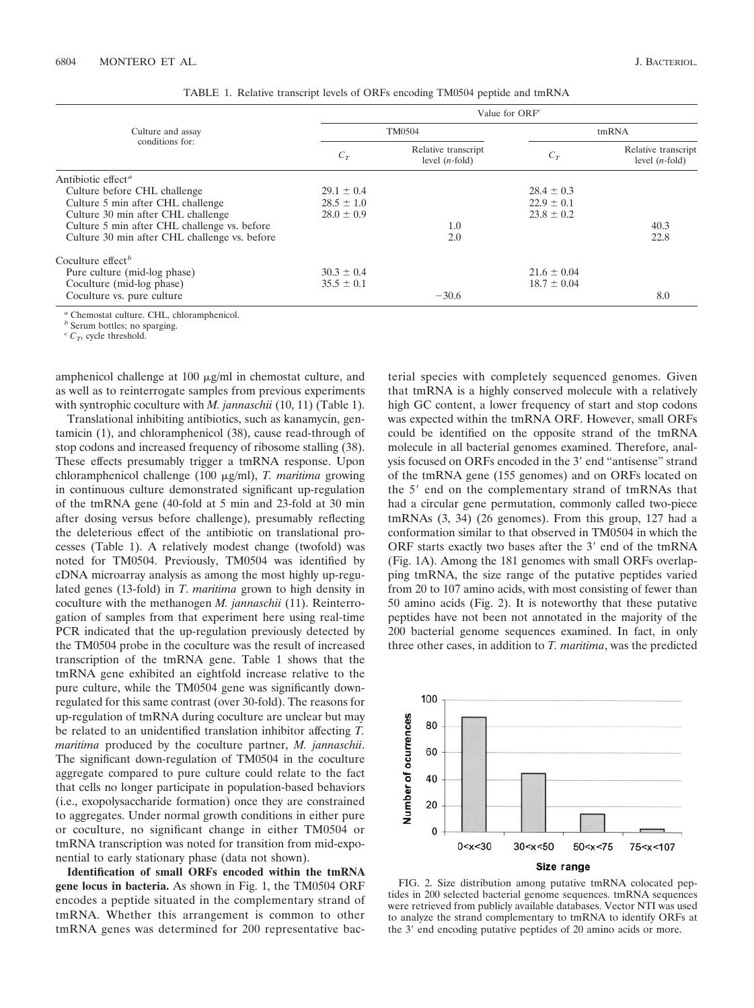| Culture and assay<br>conditions for:          | Value for $ORFc$ |                                          |                 |                                          |
|-----------------------------------------------|------------------|------------------------------------------|-----------------|------------------------------------------|
|                                               | TM0504           |                                          | tmRNA           |                                          |
|                                               | $C_T$            | Relative transcript<br>level $(n$ -fold) | $C_T$           | Relative transcript<br>level $(n$ -fold) |
| Antibiotic effect <sup>a</sup>                |                  |                                          |                 |                                          |
| Culture before CHL challenge                  | $29.1 \pm 0.4$   |                                          | $28.4 \pm 0.3$  |                                          |
| Culture 5 min after CHL challenge             | $28.5 \pm 1.0$   |                                          | $22.9 \pm 0.1$  |                                          |
| Culture 30 min after CHL challenge            | $28.0 \pm 0.9$   |                                          | $23.8 \pm 0.2$  |                                          |
| Culture 5 min after CHL challenge vs. before  |                  | 1.0                                      |                 | 40.3                                     |
| Culture 30 min after CHL challenge vs. before |                  | 2.0                                      |                 | 22.8                                     |
| Coculture effect <sup>b</sup>                 |                  |                                          |                 |                                          |
| Pure culture (mid-log phase)                  | $30.3 \pm 0.4$   |                                          | $21.6 \pm 0.04$ |                                          |
| Coculture (mid-log phase)                     | $35.5 \pm 0.1$   |                                          | $18.7 \pm 0.04$ |                                          |
| Coculture vs. pure culture                    |                  | $-30.6$                                  |                 | 8.0                                      |

TABLE 1. Relative transcript levels of ORFs encoding TM0504 peptide and tmRNA

*<sup>a</sup>* Chemostat culture. CHL, chloramphenicol.

*<sup>b</sup>* Serum bottles; no sparging.

 $c^c$  *C<sub>T</sub>*, cycle threshold.

amphenicol challenge at  $100 \mu g/ml$  in chemostat culture, and as well as to reinterrogate samples from previous experiments with syntrophic coculture with *M. jannaschii* (10, 11) (Table 1).

Translational inhibiting antibiotics, such as kanamycin, gentamicin (1), and chloramphenicol (38), cause read-through of stop codons and increased frequency of ribosome stalling (38). These effects presumably trigger a tmRNA response. Upon chloramphenicol challenge (100 μg/ml), *T. maritima* growing in continuous culture demonstrated significant up-regulation of the tmRNA gene (40-fold at 5 min and 23-fold at 30 min after dosing versus before challenge), presumably reflecting the deleterious effect of the antibiotic on translational processes (Table 1). A relatively modest change (twofold) was noted for TM0504. Previously, TM0504 was identified by cDNA microarray analysis as among the most highly up-regulated genes (13-fold) in *T*. *maritima* grown to high density in coculture with the methanogen *M. jannaschii* (11). Reinterrogation of samples from that experiment here using real-time PCR indicated that the up-regulation previously detected by the TM0504 probe in the coculture was the result of increased transcription of the tmRNA gene. Table 1 shows that the tmRNA gene exhibited an eightfold increase relative to the pure culture, while the TM0504 gene was significantly downregulated for this same contrast (over 30-fold). The reasons for up-regulation of tmRNA during coculture are unclear but may be related to an unidentified translation inhibitor affecting *T. maritima* produced by the coculture partner, *M. jannaschii*. The significant down-regulation of TM0504 in the coculture aggregate compared to pure culture could relate to the fact that cells no longer participate in population-based behaviors (i.e., exopolysaccharide formation) once they are constrained to aggregates. Under normal growth conditions in either pure or coculture, no significant change in either TM0504 or tmRNA transcription was noted for transition from mid-exponential to early stationary phase (data not shown).

**Identification of small ORFs encoded within the tmRNA gene locus in bacteria.** As shown in Fig. 1, the TM0504 ORF encodes a peptide situated in the complementary strand of tmRNA. Whether this arrangement is common to other tmRNA genes was determined for 200 representative bacterial species with completely sequenced genomes. Given that tmRNA is a highly conserved molecule with a relatively high GC content, a lower frequency of start and stop codons was expected within the tmRNA ORF. However, small ORFs could be identified on the opposite strand of the tmRNA molecule in all bacterial genomes examined. Therefore, analysis focused on ORFs encoded in the 3' end "antisense" strand of the tmRNA gene (155 genomes) and on ORFs located on the 5' end on the complementary strand of tmRNAs that had a circular gene permutation, commonly called two-piece tmRNAs (3, 34) (26 genomes). From this group, 127 had a conformation similar to that observed in TM0504 in which the ORF starts exactly two bases after the 3' end of the tmRNA (Fig. 1A). Among the 181 genomes with small ORFs overlapping tmRNA, the size range of the putative peptides varied from 20 to 107 amino acids, with most consisting of fewer than 50 amino acids (Fig. 2). It is noteworthy that these putative peptides have not been not annotated in the majority of the 200 bacterial genome sequences examined. In fact, in only three other cases, in addition to *T. maritima*, was the predicted



FIG. 2. Size distribution among putative tmRNA colocated peptides in 200 selected bacterial genome sequences. tmRNA sequences were retrieved from publicly available databases. Vector NTI was used to analyze the strand complementary to tmRNA to identify ORFs at the 3' end encoding putative peptides of 20 amino acids or more.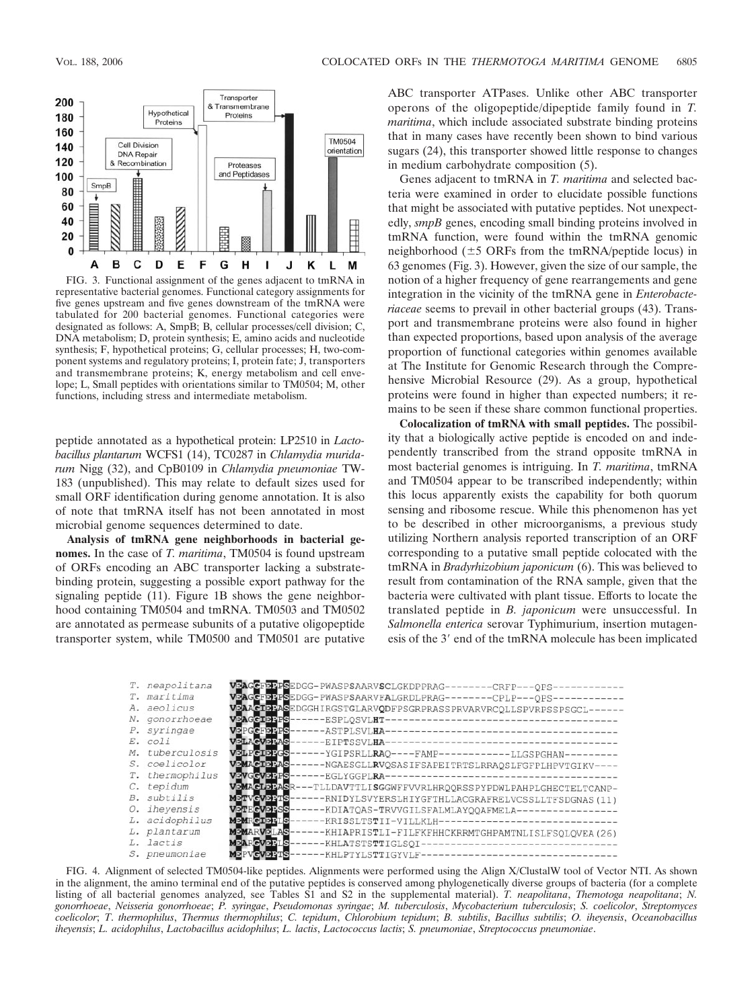

FIG. 3. Functional assignment of the genes adjacent to tmRNA in representative bacterial genomes. Functional category assignments for five genes upstream and five genes downstream of the tmRNA were tabulated for 200 bacterial genomes. Functional categories were designated as follows: A, SmpB; B, cellular processes/cell division; C, DNA metabolism; D, protein synthesis; E, amino acids and nucleotide synthesis; F, hypothetical proteins; G, cellular processes; H, two-component systems and regulatory proteins; I, protein fate; J, transporters and transmembrane proteins; K, energy metabolism and cell envelope; L, Small peptides with orientations similar to TM0504; M, other functions, including stress and intermediate metabolism.

peptide annotated as a hypothetical protein: LP2510 in *Lactobacillus plantarum* WCFS1 (14), TC0287 in *Chlamydia muridarum* Nigg (32), and CpB0109 in *Chlamydia pneumoniae* TW-183 (unpublished). This may relate to default sizes used for small ORF identification during genome annotation. It is also of note that tmRNA itself has not been annotated in most microbial genome sequences determined to date.

**Analysis of tmRNA gene neighborhoods in bacterial genomes.** In the case of *T. maritima*, TM0504 is found upstream of ORFs encoding an ABC transporter lacking a substratebinding protein, suggesting a possible export pathway for the signaling peptide (11). Figure 1B shows the gene neighborhood containing TM0504 and tmRNA. TM0503 and TM0502 are annotated as permease subunits of a putative oligopeptide transporter system, while TM0500 and TM0501 are putative

ABC transporter ATPases. Unlike other ABC transporter operons of the oligopeptide/dipeptide family found in *T. maritima*, which include associated substrate binding proteins that in many cases have recently been shown to bind various sugars (24), this transporter showed little response to changes in medium carbohydrate composition (5).

Genes adjacent to tmRNA in *T. maritima* and selected bacteria were examined in order to elucidate possible functions that might be associated with putative peptides. Not unexpectedly, *smpB* genes, encoding small binding proteins involved in tmRNA function, were found within the tmRNA genomic neighborhood  $(\pm 5 \text{ ORFs from the tmRNA/peptide locus})$  in 63 genomes (Fig. 3). However, given the size of our sample, the notion of a higher frequency of gene rearrangements and gene integration in the vicinity of the tmRNA gene in *Enterobacteriaceae* seems to prevail in other bacterial groups (43). Transport and transmembrane proteins were also found in higher than expected proportions, based upon analysis of the average proportion of functional categories within genomes available at The Institute for Genomic Research through the Comprehensive Microbial Resource (29). As a group, hypothetical proteins were found in higher than expected numbers; it remains to be seen if these share common functional properties.

**Colocalization of tmRNA with small peptides.** The possibility that a biologically active peptide is encoded on and independently transcribed from the strand opposite tmRNA in most bacterial genomes is intriguing. In *T. maritima*, tmRNA and TM0504 appear to be transcribed independently; within this locus apparently exists the capability for both quorum sensing and ribosome rescue. While this phenomenon has yet to be described in other microorganisms, a previous study utilizing Northern analysis reported transcription of an ORF corresponding to a putative small peptide colocated with the tmRNA in *Bradyrhizobium japonicum* (6). This was believed to result from contamination of the RNA sample, given that the bacteria were cultivated with plant tissue. Efforts to locate the translated peptide in *B. japonicum* were unsuccessful. In *Salmonella enterica* serovar Typhimurium, insertion mutagenesis of the 3' end of the tmRNA molecule has been implicated



FIG. 4. Alignment of selected TM0504-like peptides. Alignments were performed using the Align X/ClustalW tool of Vector NTI. As shown in the alignment, the amino terminal end of the putative peptides is conserved among phylogenetically diverse groups of bacteria (for a complete listing of all bacterial genomes analyzed, see Tables S1 and S2 in the supplemental material). *T. neapolitana*, *Themotoga neapolitana*; *N. gonorrhoeae*, *Neisseria gonorrhoeae*; *P. syringae*, *Pseudomonas syringae*; *M. tuberculosis*, *Mycobacterium tuberculosis*; *S. coelicolor*, *Streptomyces coelicolor*; *T*. *thermophilus*, *Thermus thermophilus*; *C. tepidum*, *Chlorobium tepidum*; *B. subtilis*, *Bacillus subtilis*; *O. iheyensis*, *Oceanobacillus iheyensis*; *L. acidophilus*, *Lactobacillus acidophilus*; *L. lactis*, *Lactococcus lactis*; *S. pneumoniae*, *Streptococcus pneumoniae*.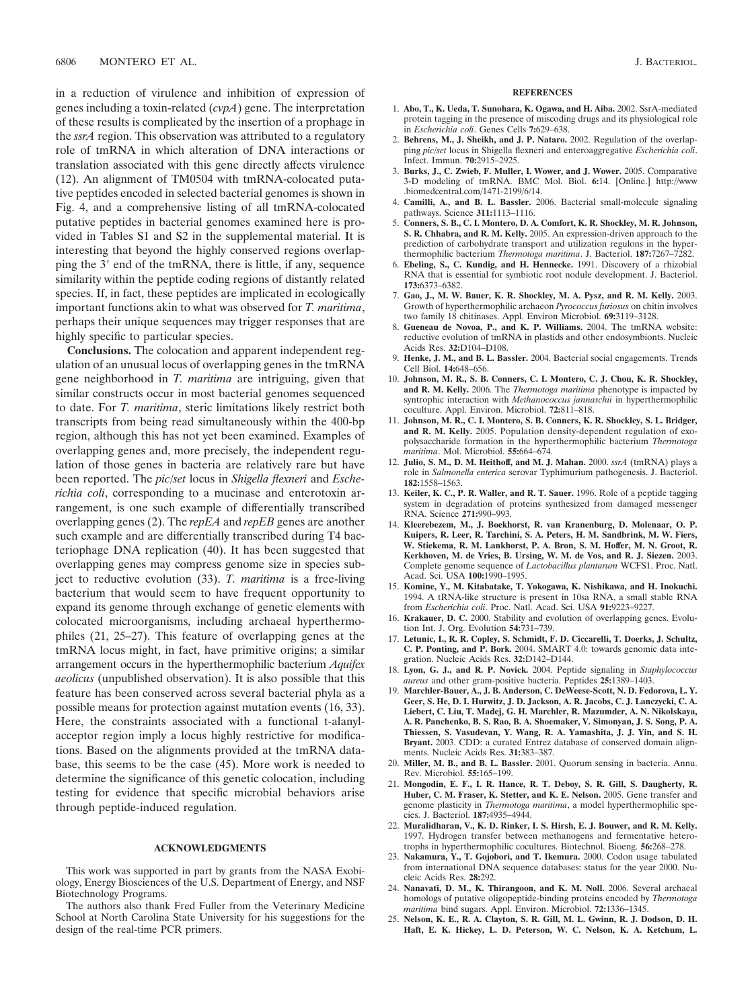in a reduction of virulence and inhibition of expression of genes including a toxin-related (*cvpA*) gene. The interpretation of these results is complicated by the insertion of a prophage in the *ssrA* region. This observation was attributed to a regulatory role of tmRNA in which alteration of DNA interactions or translation associated with this gene directly affects virulence (12). An alignment of TM0504 with tmRNA-colocated putative peptides encoded in selected bacterial genomes is shown in Fig. 4, and a comprehensive listing of all tmRNA-colocated putative peptides in bacterial genomes examined here is provided in Tables S1 and S2 in the supplemental material. It is interesting that beyond the highly conserved regions overlapping the 3' end of the tmRNA, there is little, if any, sequence similarity within the peptide coding regions of distantly related species. If, in fact, these peptides are implicated in ecologically important functions akin to what was observed for *T. maritima*, perhaps their unique sequences may trigger responses that are highly specific to particular species.

**Conclusions.** The colocation and apparent independent regulation of an unusual locus of overlapping genes in the tmRNA gene neighborhood in *T. maritima* are intriguing, given that similar constructs occur in most bacterial genomes sequenced to date. For *T. maritima*, steric limitations likely restrict both transcripts from being read simultaneously within the 400-bp region, although this has not yet been examined. Examples of overlapping genes and, more precisely, the independent regulation of those genes in bacteria are relatively rare but have been reported. The *pic*/*set* locus in *Shigella flexneri* and *Escherichia coli*, corresponding to a mucinase and enterotoxin arrangement, is one such example of differentially transcribed overlapping genes (2). The *repEA* and *repEB* genes are another such example and are differentially transcribed during T4 bacteriophage DNA replication (40). It has been suggested that overlapping genes may compress genome size in species subject to reductive evolution (33). *T. maritima* is a free-living bacterium that would seem to have frequent opportunity to expand its genome through exchange of genetic elements with colocated microorganisms, including archaeal hyperthermophiles (21, 25–27). This feature of overlapping genes at the tmRNA locus might, in fact, have primitive origins; a similar arrangement occurs in the hyperthermophilic bacterium *Aquifex aeolicus* (unpublished observation). It is also possible that this feature has been conserved across several bacterial phyla as a possible means for protection against mutation events (16, 33). Here, the constraints associated with a functional t-alanylacceptor region imply a locus highly restrictive for modifications. Based on the alignments provided at the tmRNA database, this seems to be the case (45). More work is needed to determine the significance of this genetic colocation, including testing for evidence that specific microbial behaviors arise through peptide-induced regulation.

## **ACKNOWLEDGMENTS**

This work was supported in part by grants from the NASA Exobiology, Energy Biosciences of the U.S. Department of Energy, and NSF Biotechnology Programs.

The authors also thank Fred Fuller from the Veterinary Medicine School at North Carolina State University for his suggestions for the design of the real-time PCR primers.

#### **REFERENCES**

- 1. **Abo, T., K. Ueda, T. Sunohara, K. Ogawa, and H. Aiba.** 2002. SsrA-mediated protein tagging in the presence of miscoding drugs and its physiological role in *Escherichia coli*. Genes Cells **7:**629–638.
- 2. **Behrens, M., J. Sheikh, and J. P. Nataro.** 2002. Regulation of the overlapping *pic*/*set* locus in Shigella flexneri and enteroaggregative *Escherichia coli*. Infect. Immun. **70:**2915–2925.
- 3. **Burks, J., C. Zwieb, F. Muller, I. Wower, and J. Wower.** 2005. Comparative 3-D modeling of tmRNA. BMC Mol. Biol. **6:**14. [Online.] http://www .biomedcentral.com/1471-2199/6/14.
- 4. **Camilli, A., and B. L. Bassler.** 2006. Bacterial small-molecule signaling pathways. Science **311:**1113–1116.
- 5. **Conners, S. B., C. I. Montero, D. A. Comfort, K. R. Shockley, M. R. Johnson, S. R. Chhabra, and R. M. Kelly.** 2005. An expression-driven approach to the prediction of carbohydrate transport and utilization regulons in the hyperthermophilic bacterium *Thermotoga maritima*. J. Bacteriol. **187:**7267–7282.
- 6. **Ebeling, S., C. Kundig, and H. Hennecke.** 1991. Discovery of a rhizobial RNA that is essential for symbiotic root nodule development. J. Bacteriol. **173:**6373–6382.
- 7. **Gao, J., M. W. Bauer, K. R. Shockley, M. A. Pysz, and R. M. Kelly.** 2003. Growth of hyperthermophilic archaeon *Pyrococcus furiosus* on chitin involves two family 18 chitinases. Appl. Environ Microbiol. **69:**3119–3128.
- 8. **Gueneau de Novoa, P., and K. P. Williams.** 2004. The tmRNA website: reductive evolution of tmRNA in plastids and other endosymbionts. Nucleic Acids Res. **32:**D104–D108.
- 9. **Henke, J. M., and B. L. Bassler.** 2004. Bacterial social engagements. Trends Cell Biol. **14:**648–656.
- 10. **Johnson, M. R., S. B. Conners, C. I. Montero, C. J. Chou, K. R. Shockley, and R. M. Kelly.** 2006. The *Thermotoga maritima* phenotype is impacted by syntrophic interaction with *Methanococcus jannaschii* in hyperthermophilic coculture. Appl. Environ. Microbiol. **72:**811–818.
- 11. **Johnson, M. R., C. I. Montero, S. B. Conners, K. R. Shockley, S. L. Bridger, and R. M. Kelly.** 2005. Population density-dependent regulation of exopolysaccharide formation in the hyperthermophilic bacterium *Thermotoga maritima*. Mol. Microbiol. **55:**664–674.
- 12. **Julio, S. M., D. M. Heithoff, and M. J. Mahan.** 2000. *ssrA* (tmRNA) plays a role in *Salmonella enterica* serovar Typhimurium pathogenesis. J. Bacteriol. **182:**1558–1563.
- 13. **Keiler, K. C., P. R. Waller, and R. T. Sauer.** 1996. Role of a peptide tagging system in degradation of proteins synthesized from damaged messenger RNA. Science **271:**990–993.
- 14. **Kleerebezem, M., J. Boekhorst, R. van Kranenburg, D. Molenaar, O. P. Kuipers, R. Leer, R. Tarchini, S. A. Peters, H. M. Sandbrink, M. W. Fiers, W. Stiekema, R. M. Lankhorst, P. A. Bron, S. M. Hoffer, M. N. Groot, R. Kerkhoven, M. de Vries, B. Ursing, W. M. de Vos, and R. J. Siezen.** 2003. Complete genome sequence of *Lactobacillus plantarum* WCFS1. Proc. Natl. Acad. Sci. USA **100:**1990–1995.
- 15. **Komine, Y., M. Kitabatake, T. Yokogawa, K. Nishikawa, and H. Inokuchi.** 1994. A tRNA-like structure is present in 10sa RNA, a small stable RNA from *Escherichia coli*. Proc. Natl. Acad. Sci. USA **91:**9223–9227.
- 16. **Krakauer, D. C.** 2000. Stability and evolution of overlapping genes. Evolution Int. J. Org. Evolution **54:**731–739.
- 17. **Letunic, I., R. R. Copley, S. Schmidt, F. D. Ciccarelli, T. Doerks, J. Schultz, C. P. Ponting, and P. Bork.** 2004. SMART 4.0: towards genomic data integration. Nucleic Acids Res. **32:**D142–D144.
- 18. **Lyon, G. J., and R. P. Novick.** 2004. Peptide signaling in *Staphylococcus aureus* and other gram-positive bacteria. Peptides **25:**1389–1403.
- 19. **Marchler-Bauer, A., J. B. Anderson, C. DeWeese-Scott, N. D. Fedorova, L. Y. Geer, S. He, D. I. Hurwitz, J. D. Jackson, A. R. Jacobs, C. J. Lanczycki, C. A. Liebert, C. Liu, T. Madej, G. H. Marchler, R. Mazumder, A. N. Nikolskaya, A. R. Panchenko, B. S. Rao, B. A. Shoemaker, V. Simonyan, J. S. Song, P. A. Thiessen, S. Vasudevan, Y. Wang, R. A. Yamashita, J. J. Yin, and S. H. Bryant.** 2003. CDD: a curated Entrez database of conserved domain alignments. Nucleic Acids Res. **31:**383–387.
- 20. **Miller, M. B., and B. L. Bassler.** 2001. Quorum sensing in bacteria. Annu. Rev. Microbiol. **55:**165–199.
- 21. **Mongodin, E. F., I. R. Hance, R. T. Deboy, S. R. Gill, S. Daugherty, R. Huber, C. M. Fraser, K. Stetter, and K. E. Nelson.** 2005. Gene transfer and genome plasticity in *Thermotoga maritima*, a model hyperthermophilic species. J. Bacteriol. **187:**4935–4944.
- 22. **Muralidharan, V., K. D. Rinker, I. S. Hirsh, E. J. Bouwer, and R. M. Kelly.** 1997. Hydrogen transfer between methanogens and fermentative heterotrophs in hyperthermophilic cocultures. Biotechnol. Bioeng. **56:**268–278.
- 23. **Nakamura, Y., T. Gojobori, and T. Ikemura.** 2000. Codon usage tabulated from international DNA sequence databases: status for the year 2000. Nucleic Acids Res. **28:**292.
- 24. **Nanavati, D. M., K. Thirangoon, and K. M. Noll.** 2006. Several archaeal homologs of putative oligopeptide-binding proteins encoded by *Thermotoga maritima* bind sugars. Appl. Environ. Microbiol. **72:**1336–1345.
- 25. **Nelson, K. E., R. A. Clayton, S. R. Gill, M. L. Gwinn, R. J. Dodson, D. H. Haft, E. K. Hickey, L. D. Peterson, W. C. Nelson, K. A. Ketchum, L.**